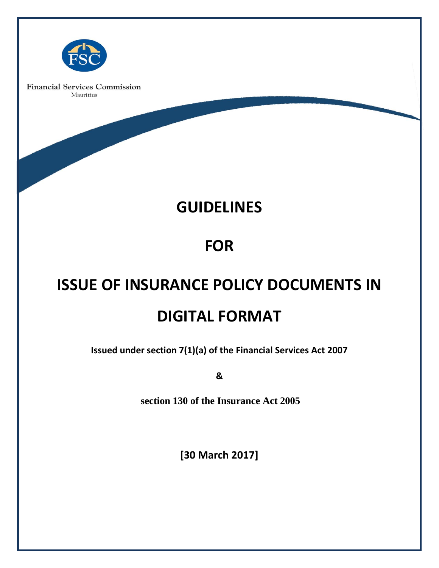

**Financial Services Commission** Mauritius

# **GUIDELINES**

# **FOR**

# **ISSUE OF INSURANCE POLICY DOCUMENTS IN DIGITAL FORMAT**

**Issued under section 7(1)(a) of the Financial Services Act 2007**

**&**

**section 130 of the Insurance Act 2005**

**[30 March 2017]**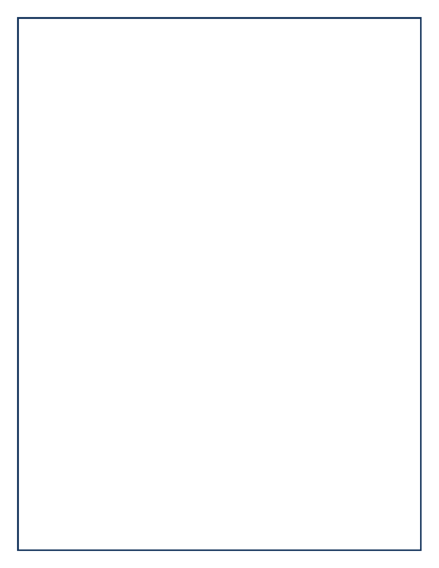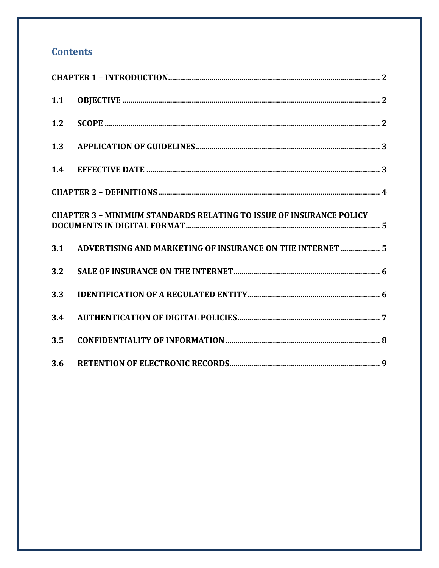## **Contents**

| 1.1 |                                                                            |  |
|-----|----------------------------------------------------------------------------|--|
| 1.2 |                                                                            |  |
| 1.3 |                                                                            |  |
| 1.4 |                                                                            |  |
|     |                                                                            |  |
|     | <b>CHAPTER 3 - MINIMUM STANDARDS RELATING TO ISSUE OF INSURANCE POLICY</b> |  |
| 3.1 | ADVERTISING AND MARKETING OF INSURANCE ON THE INTERNET  5                  |  |
| 3.2 |                                                                            |  |
| 3.3 |                                                                            |  |
| 3.4 |                                                                            |  |
| 3.5 |                                                                            |  |
| 3.6 |                                                                            |  |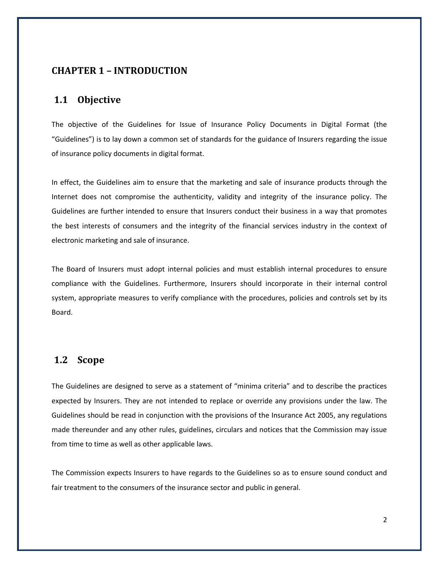#### <span id="page-3-1"></span><span id="page-3-0"></span>**CHAPTER 1 – INTRODUCTION**

#### **1.1 Objective**

The objective of the Guidelines for Issue of Insurance Policy Documents in Digital Format (the "Guidelines") is to lay down a common set of standards for the guidance of Insurers regarding the issue of insurance policy documents in digital format.

In effect, the Guidelines aim to ensure that the marketing and sale of insurance products through the Internet does not compromise the authenticity, validity and integrity of the insurance policy. The Guidelines are further intended to ensure that Insurers conduct their business in a way that promotes the best interests of consumers and the integrity of the financial services industry in the context of electronic marketing and sale of insurance.

The Board of Insurers must adopt internal policies and must establish internal procedures to ensure compliance with the Guidelines. Furthermore, Insurers should incorporate in their internal control system, appropriate measures to verify compliance with the procedures, policies and controls set by its Board.

#### <span id="page-3-2"></span>**1.2 Scope**

The Guidelines are designed to serve as a statement of "minima criteria" and to describe the practices expected by Insurers. They are not intended to replace or override any provisions under the law. The Guidelines should be read in conjunction with the provisions of the Insurance Act 2005, any regulations made thereunder and any other rules, guidelines, circulars and notices that the Commission may issue from time to time as well as other applicable laws.

The Commission expects Insurers to have regards to the Guidelines so as to ensure sound conduct and fair treatment to the consumers of the insurance sector and public in general.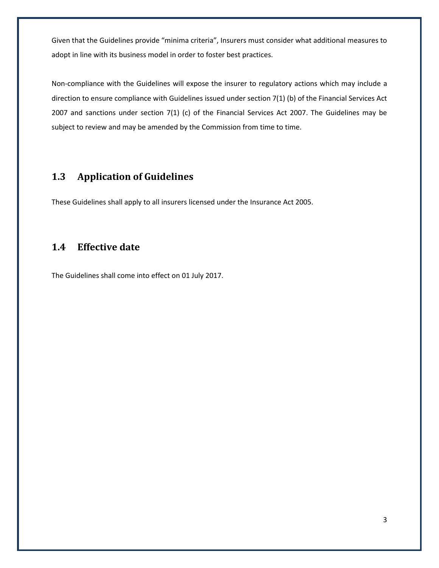Given that the Guidelines provide "minima criteria", Insurers must consider what additional measures to adopt in line with its business model in order to foster best practices.

Non-compliance with the Guidelines will expose the insurer to regulatory actions which may include a direction to ensure compliance with Guidelines issued under section 7(1) (b) of the Financial Services Act 2007 and sanctions under section 7(1) (c) of the Financial Services Act 2007. The Guidelines may be subject to review and may be amended by the Commission from time to time.

#### <span id="page-4-0"></span>**1.3 Application of Guidelines**

These Guidelines shall apply to all insurers licensed under the Insurance Act 2005.

## <span id="page-4-1"></span>**1.4 Effective date**

The Guidelines shall come into effect on 01 July 2017.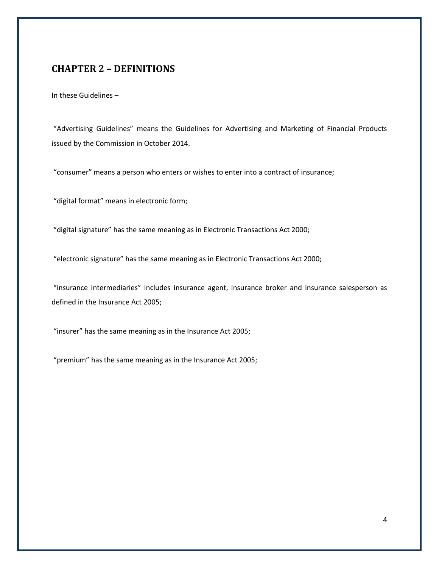#### <span id="page-5-0"></span>**CHAPTER 2 – DEFINITIONS**

In these Guidelines –

"Advertising Guidelines" means the Guidelines for Advertising and Marketing of Financial Products issued by the Commission in October 2014.

"consumer" means a person who enters or wishes to enter into a contract of insurance;

"digital format" means in electronic form;

"digital signature" has the same meaning as in Electronic Transactions Act 2000;

"electronic signature" has the same meaning as in Electronic Transactions Act 2000;

"insurance intermediaries" includes insurance agent, insurance broker and insurance salesperson as defined in the Insurance Act 2005;

"insurer" has the same meaning as in the Insurance Act 2005;

"premium" has the same meaning as in the Insurance Act 2005;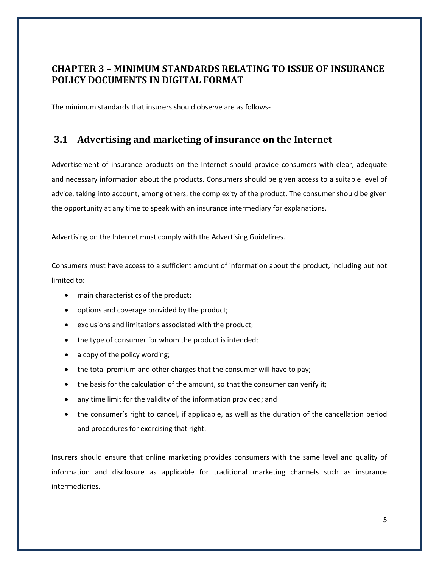### <span id="page-6-0"></span>**CHAPTER 3 – MINIMUM STANDARDS RELATING TO ISSUE OF INSURANCE POLICY DOCUMENTS IN DIGITAL FORMAT**

The minimum standards that insurers should observe are as follows-

#### <span id="page-6-1"></span>**3.1 Advertising and marketing of insurance on the Internet**

Advertisement of insurance products on the Internet should provide consumers with clear, adequate and necessary information about the products. Consumers should be given access to a suitable level of advice, taking into account, among others, the complexity of the product. The consumer should be given the opportunity at any time to speak with an insurance intermediary for explanations.

Advertising on the Internet must comply with the Advertising Guidelines.

Consumers must have access to a sufficient amount of information about the product, including but not limited to:

- main characteristics of the product;
- options and coverage provided by the product;
- exclusions and limitations associated with the product;
- the type of consumer for whom the product is intended;
- a copy of the policy wording;
- the total premium and other charges that the consumer will have to pay;
- the basis for the calculation of the amount, so that the consumer can verify it;
- any time limit for the validity of the information provided; and
- the consumer's right to cancel, if applicable, as well as the duration of the cancellation period and procedures for exercising that right.

Insurers should ensure that online marketing provides consumers with the same level and quality of information and disclosure as applicable for traditional marketing channels such as insurance intermediaries.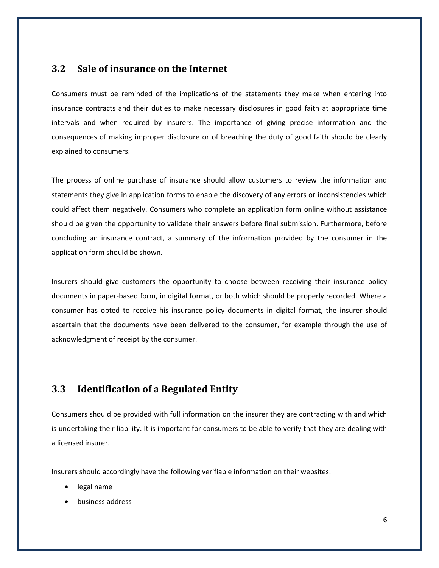#### <span id="page-7-0"></span>**3.2 Sale of insurance on the Internet**

Consumers must be reminded of the implications of the statements they make when entering into insurance contracts and their duties to make necessary disclosures in good faith at appropriate time intervals and when required by insurers. The importance of giving precise information and the consequences of making improper disclosure or of breaching the duty of good faith should be clearly explained to consumers.

The process of online purchase of insurance should allow customers to review the information and statements they give in application forms to enable the discovery of any errors or inconsistencies which could affect them negatively. Consumers who complete an application form online without assistance should be given the opportunity to validate their answers before final submission. Furthermore, before concluding an insurance contract, a summary of the information provided by the consumer in the application form should be shown.

Insurers should give customers the opportunity to choose between receiving their insurance policy documents in paper-based form, in digital format, or both which should be properly recorded. Where a consumer has opted to receive his insurance policy documents in digital format, the insurer should ascertain that the documents have been delivered to the consumer, for example through the use of acknowledgment of receipt by the consumer.

#### <span id="page-7-1"></span>**3.3 Identification of a Regulated Entity**

Consumers should be provided with full information on the insurer they are contracting with and which is undertaking their liability. It is important for consumers to be able to verify that they are dealing with a licensed insurer.

Insurers should accordingly have the following verifiable information on their websites:

- legal name
- business address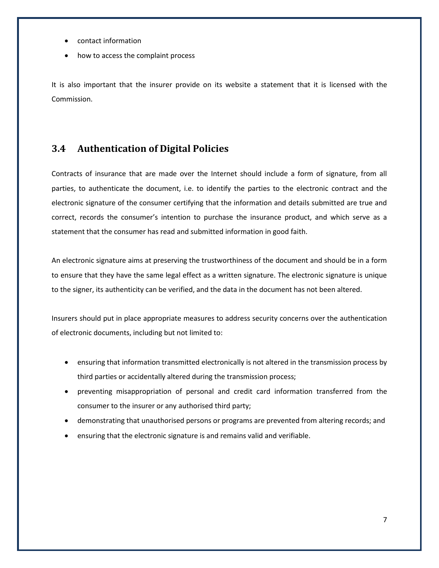- contact information
- how to access the complaint process

It is also important that the insurer provide on its website a statement that it is licensed with the Commission.

#### <span id="page-8-0"></span>**3.4 Authentication of Digital Policies**

Contracts of insurance that are made over the Internet should include a form of signature, from all parties, to authenticate the document, i.e. to identify the parties to the electronic contract and the electronic signature of the consumer certifying that the information and details submitted are true and correct, records the consumer's intention to purchase the insurance product, and which serve as a statement that the consumer has read and submitted information in good faith.

An electronic signature aims at preserving the trustworthiness of the document and should be in a form to ensure that they have the same legal effect as a written signature. The electronic signature is unique to the signer, its authenticity can be verified, and the data in the document has not been altered.

Insurers should put in place appropriate measures to address security concerns over the authentication of electronic documents, including but not limited to:

- ensuring that information transmitted electronically is not altered in the transmission process by third parties or accidentally altered during the transmission process;
- preventing misappropriation of personal and credit card information transferred from the consumer to the insurer or any authorised third party;
- demonstrating that unauthorised persons or programs are prevented from altering records; and
- ensuring that the electronic signature is and remains valid and verifiable.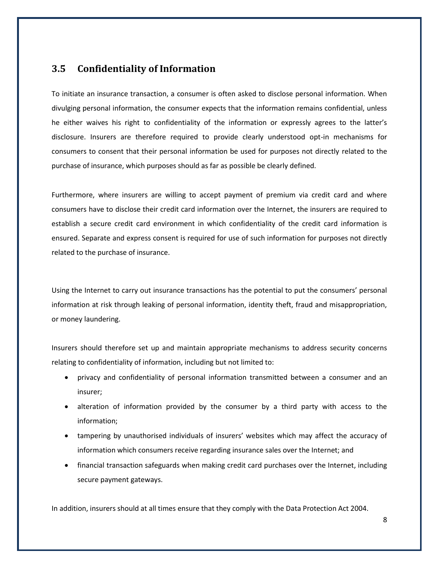#### <span id="page-9-0"></span>**3.5 Confidentiality of Information**

To initiate an insurance transaction, a consumer is often asked to disclose personal information. When divulging personal information, the consumer expects that the information remains confidential, unless he either waives his right to confidentiality of the information or expressly agrees to the latter's disclosure. Insurers are therefore required to provide clearly understood opt-in mechanisms for consumers to consent that their personal information be used for purposes not directly related to the purchase of insurance, which purposes should as far as possible be clearly defined.

Furthermore, where insurers are willing to accept payment of premium via credit card and where consumers have to disclose their credit card information over the Internet, the insurers are required to establish a secure credit card environment in which confidentiality of the credit card information is ensured. Separate and express consent is required for use of such information for purposes not directly related to the purchase of insurance.

Using the Internet to carry out insurance transactions has the potential to put the consumers' personal information at risk through leaking of personal information, identity theft, fraud and misappropriation, or money laundering.

Insurers should therefore set up and maintain appropriate mechanisms to address security concerns relating to confidentiality of information, including but not limited to:

- privacy and confidentiality of personal information transmitted between a consumer and an insurer;
- alteration of information provided by the consumer by a third party with access to the information;
- tampering by unauthorised individuals of insurers' websites which may affect the accuracy of information which consumers receive regarding insurance sales over the Internet; and
- financial transaction safeguards when making credit card purchases over the Internet, including secure payment gateways.

In addition, insurers should at all times ensure that they comply with the Data Protection Act 2004.